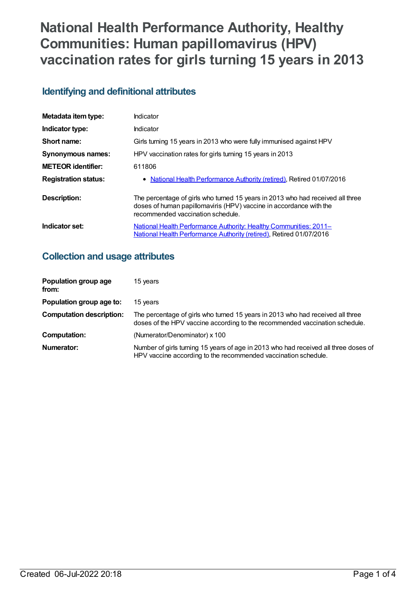# **National Health Performance Authority, Healthy Communities: Human papillomavirus (HPV) vaccination rates for girls turning 15 years in 2013**

# **Identifying and definitional attributes**

| Metadata item type:         | Indicator                                                                                                                                                                                 |
|-----------------------------|-------------------------------------------------------------------------------------------------------------------------------------------------------------------------------------------|
| Indicator type:             | Indicator                                                                                                                                                                                 |
| Short name:                 | Girls turning 15 years in 2013 who were fully immunised against HPV                                                                                                                       |
| <b>Synonymous names:</b>    | HPV vaccination rates for girls turning 15 years in 2013                                                                                                                                  |
| <b>METEOR identifier:</b>   | 611806                                                                                                                                                                                    |
| <b>Registration status:</b> | • National Health Performance Authority (retired), Retired 01/07/2016                                                                                                                     |
| <b>Description:</b>         | The percentage of girls who turned 15 years in 2013 who had received all three<br>doses of human papillomaviris (HPV) vaccine in accordance with the<br>recommended vaccination schedule. |
| Indicator set:              | National Health Performance Authority: Healthy Communities: 2011–<br>National Health Performance Authority (retired), Retired 01/07/2016                                                  |

## **Collection and usage attributes**

| Population group age<br>from:   | 15 years                                                                                                                                                      |
|---------------------------------|---------------------------------------------------------------------------------------------------------------------------------------------------------------|
| Population group age to:        | 15 years                                                                                                                                                      |
| <b>Computation description:</b> | The percentage of girls who turned 15 years in 2013 who had received all three<br>doses of the HPV vaccine according to the recommended vaccination schedule. |
| <b>Computation:</b>             | (Numerator/Denominator) x 100                                                                                                                                 |
| Numerator:                      | Number of girls turning 15 years of age in 2013 who had received all three doses of<br>HPV vaccine according to the recommended vaccination schedule.         |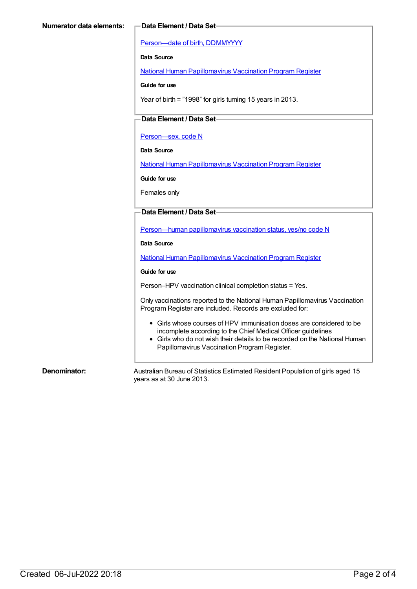[Person—date](https://meteor.aihw.gov.au/content/287007) of birth, DDMMYYYY

**Data Source**

National Human [Papillomavirus](https://meteor.aihw.gov.au/content/581029) Vaccination Program Register

**Guide for use**

Year of birth = "1998" for girls turning 15 years in 2013.

### **Data Element / Data Set**

[Person—sex,](https://meteor.aihw.gov.au/content/287316) code N

**Data Source**

National Human [Papillomavirus](https://meteor.aihw.gov.au/content/581029) Vaccination Program Register

**Guide for use**

Females only

#### **Data Element / Data Set**

[Person—human](https://meteor.aihw.gov.au/content/564749) papillomavirus vaccination status, yes/no code N

**Data Source**

National Human [Papillomavirus](https://meteor.aihw.gov.au/content/581029) Vaccination Program Register

#### **Guide for use**

Person–HPV vaccination clinical completion status = Yes.

Only vaccinations reported to the National Human Papillomavirus Vaccination Program Register are included. Records are excluded for:

- Girls whose courses of HPV immunisation doses are considered to be incomplete according to the Chief Medical Officer guidelines
- Girls who do not wish their details to be recorded on the National Human Papillomavirus Vaccination Program Register.

**Denominator:** Australian Bureau of Statistics Estimated Resident Population of girls aged 15 years as at 30 June 2013.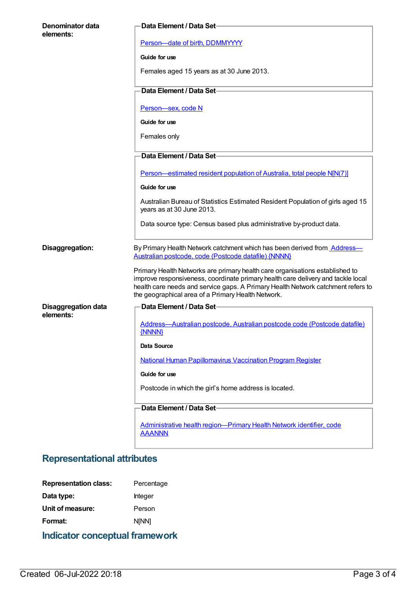| Denominator data                        | Data Element / Data Set-                                                                                                                                                                                                                                                                                   |
|-----------------------------------------|------------------------------------------------------------------------------------------------------------------------------------------------------------------------------------------------------------------------------------------------------------------------------------------------------------|
| elements:                               | Person-date of birth, DDMMYYYY                                                                                                                                                                                                                                                                             |
|                                         | Guide for use                                                                                                                                                                                                                                                                                              |
|                                         | Females aged 15 years as at 30 June 2013.                                                                                                                                                                                                                                                                  |
|                                         | Data Element / Data Set-                                                                                                                                                                                                                                                                                   |
|                                         | Person-sex, code N                                                                                                                                                                                                                                                                                         |
|                                         | Guide for use                                                                                                                                                                                                                                                                                              |
|                                         | Females only                                                                                                                                                                                                                                                                                               |
|                                         | Data Element / Data Set-                                                                                                                                                                                                                                                                                   |
|                                         | Person-estimated resident population of Australia, total people N[N(7)]                                                                                                                                                                                                                                    |
|                                         | Guide for use                                                                                                                                                                                                                                                                                              |
|                                         | Australian Bureau of Statistics Estimated Resident Population of girls aged 15<br>years as at 30 June 2013.                                                                                                                                                                                                |
|                                         | Data source type: Census based plus administrative by-product data.                                                                                                                                                                                                                                        |
| Disaggregation:                         | By Primary Health Network catchment which has been derived from <b>Address-</b><br>Australian postcode, code (Postcode datafile) {NNNN}                                                                                                                                                                    |
|                                         | Primary Health Networks are primary health care organisations established to<br>improve responsiveness, coordinate primary health care delivery and tackle local<br>health care needs and service gaps. A Primary Health Network catchment refers to<br>the geographical area of a Primary Health Network. |
| <b>Disaggregation data</b><br>elements: | Data Element / Data Set-                                                                                                                                                                                                                                                                                   |
|                                         | Address-Australian postcode, Australian postcode code (Postcode datafile)<br>{NNNN}                                                                                                                                                                                                                        |
|                                         | Data Source                                                                                                                                                                                                                                                                                                |
|                                         | <b>National Human Papillomavirus Vaccination Program Register</b>                                                                                                                                                                                                                                          |
|                                         | Guide for use                                                                                                                                                                                                                                                                                              |
|                                         | Postcode in which the girl's home address is located.                                                                                                                                                                                                                                                      |
|                                         | Data Element / Data Set-                                                                                                                                                                                                                                                                                   |
|                                         | Administrative health region-Primary Health Network identifier, code<br><b>AAANNN</b>                                                                                                                                                                                                                      |

# **Representational attributes**

| Indicator conceptual framework |              |
|--------------------------------|--------------|
| Format:                        | <b>NINN1</b> |
| Unit of measure:               | Person       |
| Data type:                     | Integer      |
| <b>Representation class:</b>   | Percentage   |